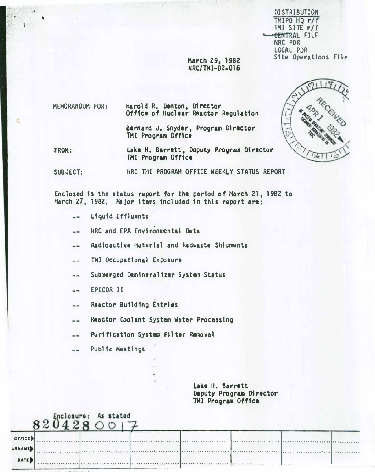**DISTRIBUTION** TMIPO HQ r/f TMI SITE r/f CENTRAL FILE NRC PDR **LOCAL PDR** Site Operations File

March 29, 1982 NRC/TMI-82-016

MEHORANDUM FOR: Harold R. Denton, Director Office of Huclear Reactor Regulation

> Bernard J. Snyder, Program Director TMI Program Office

Lake H. Barrett, Deputy Program Director FROM: TMI Program Office

SUBJECT: NRC THI PROGRAM OFFICE WEEKLY STATUS REPORT

Enclosed is the status report for the period of March 21, 1982 to Harch 27, 1982. Major items included in this report are:

- Liquid Effluents --
- NRC and EPA Environmental Data  $- -$

Radioactive Material and Radwaste Shipments  $-$ 

TMI Occupational Exposure  $- -$ 

Submarged Demineralizer System Status --

EPICOR II  $-1$ 

Reactor Building Entries  $=$ 

Reactor Coolant System Water Processing --

Purification System Filter Removal  $- -$ 

Public Meetings  $\frac{1}{2}$ 

> Lake H. Barrett Deputy Program Director THI Program Office

|                         | Enclosure:<br>00 | As stated<br>28001 |  |  |  |
|-------------------------|------------------|--------------------|--|--|--|
| OFFICE D                |                  |                    |  |  |  |
| <b>URNAME</b><br>DATE D |                  |                    |  |  |  |
|                         |                  |                    |  |  |  |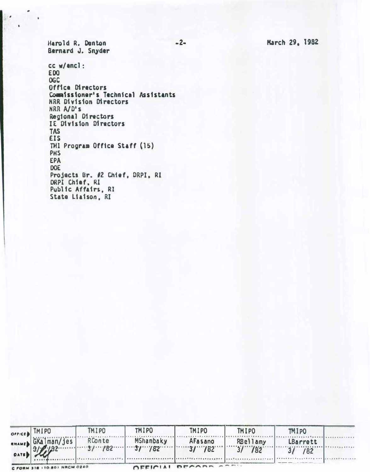March 29, 1982

Harold R. Denton Bernard J. Snyder

cc w/ancl: **EDO** OGC Office Directors Commissioner's Technical Assistants NRR Division Directors NRR A/D's Regional Directors IE Division Directors **TAS EIS** THI Program Office Staff (15) PHS **EPA** DOE Projects Br. #2 Chief, DRPI, RI DRPI Chief, RI Public Affairs, RI State Liaison, RI

| OFFICE.       | TMIPO                        | <b>TMIPO</b> | <b>TMIPO</b> | <b>TMIPO</b> | <b>TMIPO</b> | TMIPO             |  |
|---------------|------------------------------|--------------|--------------|--------------|--------------|-------------------|--|
| <b>RNAMED</b> | GKalman/jes                  |              | RConte Monte | AFasano      | RBellamy     | LBarrett<br>3/182 |  |
| <b>DATE</b>   |                              |              |              |              |              |                   |  |
|               | C FORM 318 (10-80) NRCM 0240 |              |              |              |              |                   |  |

 $-2-$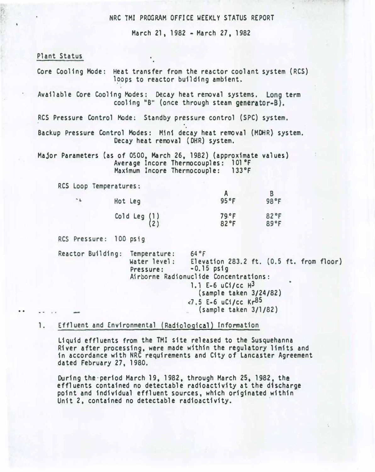NRC TMI PROGRAM OFFICE WEEKLY STATUS REPORT

March 21, 1982 - March 27, 1982

#### Plant Status

. .

|                        | loops to reactor building ambient.                            | Core Cooling Mode: Heat transfer from the reactor coolant system (RCS)                                                                                                                                                      |              |  |
|------------------------|---------------------------------------------------------------|-----------------------------------------------------------------------------------------------------------------------------------------------------------------------------------------------------------------------------|--------------|--|
|                        |                                                               | Available Core Cooling Modes: Decay heat removal systems. Long term<br>cooling "B" (once through steam generator-B).                                                                                                        |              |  |
|                        |                                                               | RCS Pressure Control Mode: Standby pressure control (SPC) system.                                                                                                                                                           |              |  |
|                        | Decay heat removal (DHR) system.                              | Backup Pressure Control Modes: Mini decay heat removal (MDHR) system.                                                                                                                                                       |              |  |
|                        | Average Incore Thermocouples:<br>Maximum Incore Thermocouple: | Major Parameters (as of 0500, March 26, 1982) (approximate values)<br>101 °F<br>$133$ °F                                                                                                                                    |              |  |
| RCS Loop Temperatures: |                                                               |                                                                                                                                                                                                                             |              |  |
| $-1$                   | Hot Leg                                                       | $\mathsf{A}$<br>95°F                                                                                                                                                                                                        | B<br>98°F    |  |
|                        | Cold Leg $(1)$<br>(2)                                         | 79.9F<br>82°F                                                                                                                                                                                                               | 82°F<br>89°F |  |
| RCS Pressure: 100 psig |                                                               |                                                                                                                                                                                                                             |              |  |
|                        | Reactor Building: Temperature:<br>Pressure:                   | 64°F<br>Water level: Elevation 283.2 ft. (0.5 ft. from floor)<br>$-0.15$ psig<br>Airborne Radionuclide Concentrations:<br>1.1 E-6 uCi/cc $H^3$<br>(sample taken 3/24/82)<br>$-7.5$ E-6 uC1/cc Kr85<br>(sample taken 3/1/82) |              |  |
|                        |                                                               |                                                                                                                                                                                                                             |              |  |

# 1. Effluent and Environmental (Radiological) Information

Liquid effluents from the TMI site released to the Susquehanna River after processing, were made within the regulatory limits and in accordance with NRC requirements and City of lancaster Agreement dated February 27, 1980.

During the period March 19, 1982, through March 25, 1982, the effluents contained no detectable radioactivity at the discharge point and individual effluent sources, which originated within Unit 2, contained no detectable radioactivity.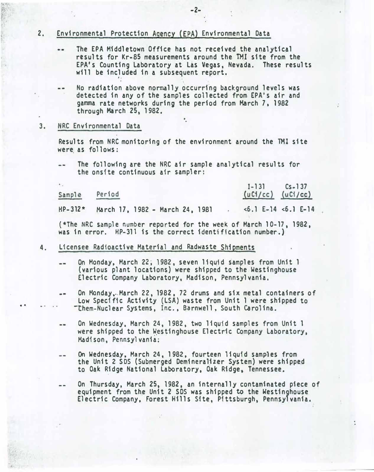#### 2. Environmental Protection Agency (EPA) Environmental Data

- The EPA Middletown Office has not received the analytical .. results for Kr-85 measurements around the TMI site from the EPA's Counting laboratory at Las Vegas, Nevada. These results will be included in a subsequent report. ,
- No radiation above normally occurring background levels was detected in any of the samples collected from EPA's air and gamma rate networks during the period from March 7. 1982 through March 25, 1982.
- 3. NRC Environmental Data

. .

Results from NRC monitoring of the environment around the TMI site were as follows:

The following are the NRC air sample analytical results for  $-1$ the onsite continuous air sampler:

Sample Period  $I-131$  $(uC1/cc)$ Cs-1 37  $(uC1/cc)$ 

 $HP-312*$  March 17, 1982 - March 24, 1981 . <6.1 E-14 <6.1 E-14

(\*The NRC sample number reported for the week of March 10-17, 1982, was in error. HP-311 is the correct identification number.)

- 4. Licensee Radioactive Material and Radwaste Shipments
	- On Monday, March 22; 1982, seven liquid samples from Unit 1  $- -$ (various plant locations) were shipped to the Westinghouse Electric Company Laboratory, Madison. Pennsylvania.
	- On Monday ... March 22, 1982, 72 drums and six metal containers of a an Low Specific Activity (LSA) waste from Unit 1 were shipped to -chem-Nuclear Systems. Inc .• Barnwell , South Carolina.
	- On Wednesday, March 24, 1982, two liquid samples from Unit 1  $-1$ were shipped to the Westinghouse Electric Company Laboratory, Madison, Pennsylvania;
	- On Wednesday. March 24, 1 982, fourteen liquid samples from -the Unit 2 SDS (Submerged Dem1nera1izer System) were shipped to Oak Ridge National Laboratory, Oak Ridge, Tennessee.
	- On Thursday. March 25, 1982, an internally contaminated piece of -equipment from the Unit 2 SDS was shipped to the Westinghouse Electric Company, Forest Hills Site, Pittsburgh, Pennsylvania.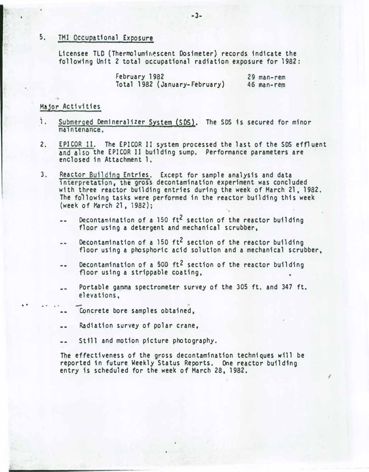## 5. TMI Occupational Exposure

Licensee TLD (Thermoluminescent Dosimeter) records indicate the following Unit 2 total occupational radiation exposure for 1982:

> February 1982 Total 1982 (January-February) 29 man-rem 46 man-rem

## Major Activities

. .

- 1. Submerged Demineralizer System (SDS). The SDS is secured for minor maintenance,
- 2. EPICOR 11. The EPICOR 11 system processed the last of the SDS effluent and also the EPICOR II building sump. Performance parameters are enclosed in Attachment 1.
- 3, Reactor Building Entries. Except for sample analysis and data interpretation, the gross decontamination experiment was concluded with three reactor building entries during the week of March 21, 1982. The following tasks were performed in the reactor building this week (week. of March 21, 1982);
	- Decontamination of a 150  $ft^2$  section of the reactor building  $\overline{a}$ floor using a detergent and mechanical scrubber,
	- Decontamination of a 150  $ft^2$  section of the reactor building  $\overline{\phantom{a}}$ floor using a phosphoric acid solution and a mechanical scrubber,
	- Decontamination of a 500  $ft^2$  section of the reactor building  $-1$ floor using a strippable coating.
	- Portable gamma spectrometer survey of the 305 ft. and 347 ft.  $\blacksquare$ elevations,
		- .. Concrete bore samples obtained,
	- Radiation survey of polar crane,  $-1$
	- St111 and motion picture photography. ..

The effectiveness of the gross decontamination techniques will be reported in future Weekly Status Reports. One reactor building entry is scheduled for the week of March 28. 1982.

 $\overline{\phantom{a}}$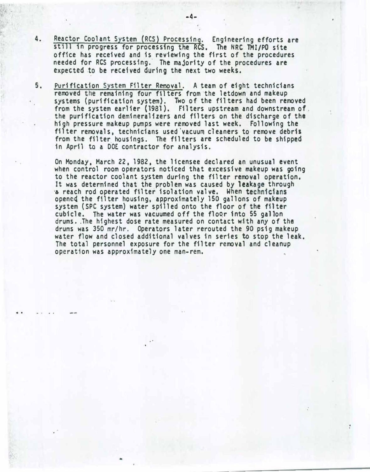- 4. Reactor Coolant System (RCS) Processing. Engineering efforts are still in progress for processing the RCS. The NRC TMI/PO site office has received and is reviewing the first of the procedures needed for RCS processing. The majority of the procedures are expected to be received during the next two weeks.
- 5. Purification System Filter Removal. A team of eight technicians removed the remaining four filters from the letdown and makeup systems (purification system). Two of the fi1ters had been removed from the system earlier (1981). Filters upstream and downstream of. the purification demineral1zers and filters on the discharge of the high pressure makeup pumps were removed last week. Following the filter removals, technicians used'vacuum cleaners to remove debris from the filter housings. The filters are scheduled to be shipped in April to a DOE contractor for analysis.

On Monday, March 22, 1982, the licensee declared an unusual event when control room operators noticed that excessive makeup was going to the reactor coolant system during the filter removal operation. It was determined that the problem was caused by leakage through ·� reach rod operated filter isolation valve. When technicians openc4 the filter housing. approximately 150 gallons of makeup system (SPC system) water spilled onto the floor of the filter cubicle. The water was vacuumed off the floor into 55 gallon drums •. The highest dose rate measured on contact with any of the drums was 350 mr/hr. Operators later rerouted the 90 ps1g makeup water flow and closed additional valves in series to stop the leak. The total personnel exposure for the filter removal and cleanup operation was approximately one man-rem.

:

• '

-

. .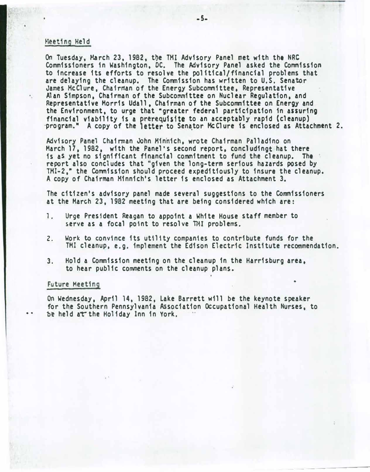## Meeting Held

On Tuesday, March 23, 1982. t�e TMI Advisory Panel met with the NRC Commissioners 1n Washington, DC. The Advisory Panel asked the Commission to increase its efforts to resolve the po11tical/f1nanc1a1 problems that are delaying the cleanup. The Commission has written to U.S. Senator James McClure, Chairman of the Energy Subcommittee, Representative Alan Simpson, Chairman of the Subcommittee on Nuclear Regulation, and Representative Morris Udall. Chairman of the Subcommittee on Energy and the Environment, to urge that "greater federal participation in assuring financial viability is a prerequisite to an acceptably rapid (cleanup) ·program." A copy of the letter to Senator McClure is enclosed as Attachment 2.

Advisory Panel Chairman John H1nh1ch, wrote Chairman Palladino on March 17, 1982, with the Panel's second report, concludingt hat there is as yet no significant financial commitment to fund the cleanup. The report also concludes that "given the long-term serious hazards posed by TMI-2," the Commission should proceed expeditiously to insure the cleanup. A copy of Chairman Minnich's letter is enclosed as Attachment 3.

The citizen's advisory panel made several suggestions to the Commissioners at the March 23, 1982 meeting that are being considered which are:

- 1. Urge President Reagan to appoint a White House staff member to serve as a focal point to resolve TMI problems.
- 2. Work to convince its utility companies to contribute funds for the TMI cleanup. e.g. implement the Edison Electric Institute recommendation.

•

--------

3. Hold a Commission meeting on the cleanup in the Harrisburg area, to hear public comments on the cleanup plans.

#### Future Meeting

..

• •

On Wednesday, April 14, 1982, Lake Barrett will be the keynote speaker for the Southern Pennsylvania Association Occupational Health Nurses. to be held at the Holiday Inn in York.